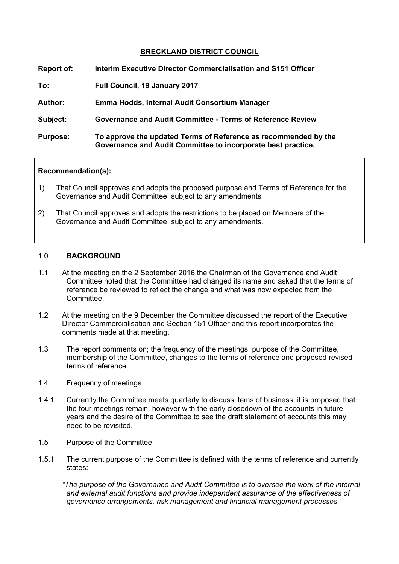# **BRECKLAND DISTRICT COUNCIL**

| Report of:      | Interim Executive Director Commercialisation and S151 Officer                                                                   |
|-----------------|---------------------------------------------------------------------------------------------------------------------------------|
| To:             | Full Council, 19 January 2017                                                                                                   |
| <b>Author:</b>  | Emma Hodds, Internal Audit Consortium Manager                                                                                   |
| Subject:        | <b>Governance and Audit Committee - Terms of Reference Review</b>                                                               |
| <b>Purpose:</b> | To approve the updated Terms of Reference as recommended by the<br>Governance and Audit Committee to incorporate best practice. |

#### **Recommendation(s):**

- 1) That Council approves and adopts the proposed purpose and Terms of Reference for the Governance and Audit Committee, subject to any amendments
- 2) That Council approves and adopts the restrictions to be placed on Members of the Governance and Audit Committee, subject to any amendments.

#### 1.0 **BACKGROUND**

- 1.1 At the meeting on the 2 September 2016 the Chairman of the Governance and Audit Committee noted that the Committee had changed its name and asked that the terms of reference be reviewed to reflect the change and what was now expected from the **Committee.**
- 1.2 At the meeting on the 9 December the Committee discussed the report of the Executive Director Commercialisation and Section 151 Officer and this report incorporates the comments made at that meeting.
- 1.3 The report comments on; the frequency of the meetings, purpose of the Committee, membership of the Committee, changes to the terms of reference and proposed revised terms of reference.

#### 1.4 Frequency of meetings

- 1.4.1 Currently the Committee meets quarterly to discuss items of business, it is proposed that the four meetings remain, however with the early closedown of the accounts in future years and the desire of the Committee to see the draft statement of accounts this may need to be revisited.
- 1.5 Purpose of the Committee
- 1.5.1 The current purpose of the Committee is defined with the terms of reference and currently states:

*"The purpose of the Governance and Audit Committee is to oversee the work of the internal and external audit functions and provide independent assurance of the effectiveness of governance arrangements, risk management and financial management processes."*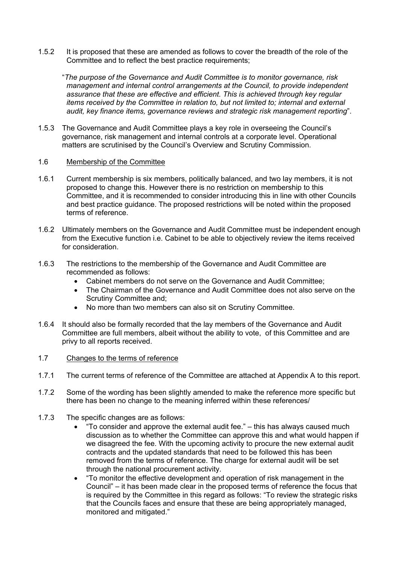1.5.2 It is proposed that these are amended as follows to cover the breadth of the role of the Committee and to reflect the best practice requirements;

"*The purpose of the Governance and Audit Committee is to monitor governance, risk management and internal control arrangements at the Council, to provide independent assurance that these are effective and efficient. This is achieved through key regular items received by the Committee in relation to, but not limited to; internal and external audit, key finance items, governance reviews and strategic risk management reporting*".

1.5.3 The Governance and Audit Committee plays a key role in overseeing the Council's governance, risk management and internal controls at a corporate level. Operational matters are scrutinised by the Council's Overview and Scrutiny Commission.

#### 1.6 Membership of the Committee

- 1.6.1 Current membership is six members, politically balanced, and two lay members, it is not proposed to change this. However there is no restriction on membership to this Committee, and it is recommended to consider introducing this in line with other Councils and best practice guidance. The proposed restrictions will be noted within the proposed terms of reference.
- 1.6.2 Ultimately members on the Governance and Audit Committee must be independent enough from the Executive function i.e. Cabinet to be able to objectively review the items received for consideration.
- 1.6.3 The restrictions to the membership of the Governance and Audit Committee are recommended as follows:
	- Cabinet members do not serve on the Governance and Audit Committee;
	- The Chairman of the Governance and Audit Committee does not also serve on the Scrutiny Committee and;
	- No more than two members can also sit on Scrutiny Committee.
- 1.6.4 It should also be formally recorded that the lay members of the Governance and Audit Committee are full members, albeit without the ability to vote, of this Committee and are privy to all reports received.

#### 1.7 Changes to the terms of reference

- 1.7.1 The current terms of reference of the Committee are attached at Appendix A to this report.
- 1.7.2 Some of the wording has been slightly amended to make the reference more specific but there has been no change to the meaning inferred within these references/
- 1.7.3 The specific changes are as follows:
	- $\bullet$  "To consider and approve the external audit fee."  $-$  this has always caused much discussion as to whether the Committee can approve this and what would happen if we disagreed the fee. With the upcoming activity to procure the new external audit contracts and the updated standards that need to be followed this has been removed from the terms of reference. The charge for external audit will be set through the national procurement activity.
	- "To monitor the effective development and operation of risk management in the Council" – it has been made clear in the proposed terms of reference the focus that is required by the Committee in this regard as follows: "To review the strategic risks that the Councils faces and ensure that these are being appropriately managed, monitored and mitigated."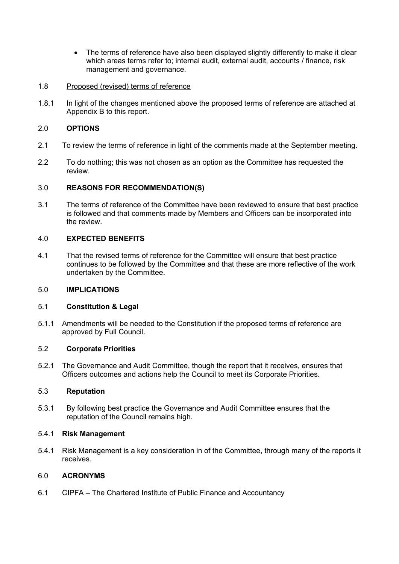- The terms of reference have also been displayed slightly differently to make it clear which areas terms refer to; internal audit, external audit, accounts / finance, risk management and governance.
- 1.8 Proposed (revised) terms of reference
- 1.8.1 In light of the changes mentioned above the proposed terms of reference are attached at Appendix B to this report.

# 2.0 **OPTIONS**

- 2.1 To review the terms of reference in light of the comments made at the September meeting.
- 2.2 To do nothing; this was not chosen as an option as the Committee has requested the review.

# 3.0 **REASONS FOR RECOMMENDATION(S)**

3.1 The terms of reference of the Committee have been reviewed to ensure that best practice is followed and that comments made by Members and Officers can be incorporated into the review.

# 4.0 **EXPECTED BENEFITS**

4.1 That the revised terms of reference for the Committee will ensure that best practice continues to be followed by the Committee and that these are more reflective of the work undertaken by the Committee.

# 5.0 **IMPLICATIONS**

# 5.1 **Constitution & Legal**

5.1.1 Amendments will be needed to the Constitution if the proposed terms of reference are approved by Full Council.

# 5.2 **Corporate Priorities**

5.2.1 The Governance and Audit Committee, though the report that it receives, ensures that Officers outcomes and actions help the Council to meet its Corporate Priorities.

# 5.3 **Reputation**

5.3.1 By following best practice the Governance and Audit Committee ensures that the reputation of the Council remains high.

# 5.4.1 **Risk Management**

5.4.1 Risk Management is a key consideration in of the Committee, through many of the reports it receives.

# 6.0 **ACRONYMS**

6.1 CIPFA – The Chartered Institute of Public Finance and Accountancy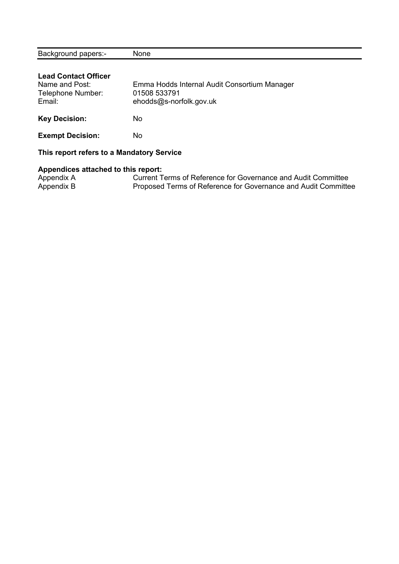| <b>Background papers:-</b>                | None                                                          |
|-------------------------------------------|---------------------------------------------------------------|
|                                           |                                                               |
| <b>Lead Contact Officer</b>               |                                                               |
| Name and Post:                            | Emma Hodds Internal Audit Consortium Manager                  |
| Telephone Number:                         | 01508 533791                                                  |
| Email:                                    | ehodds@s-norfolk.gov.uk                                       |
|                                           |                                                               |
| <b>Key Decision:</b>                      | No.                                                           |
| <b>Exempt Decision:</b>                   | No.                                                           |
|                                           |                                                               |
| This report refers to a Mandatory Service |                                                               |
| Appendices attached to this report:       |                                                               |
| Appendix A                                | Current Terms of Reference for Governance and Audit Committee |

Appendix B **Proposed Terms of Reference for Governance and Audit Committee**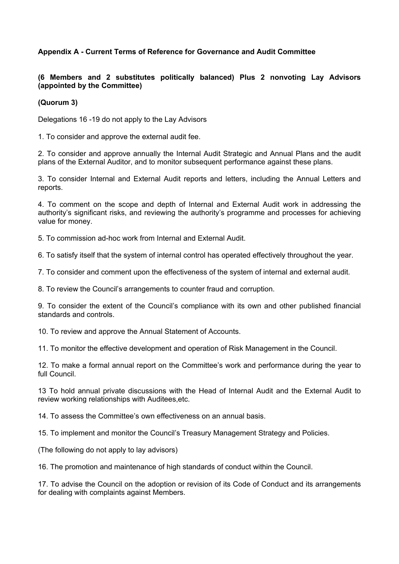# **Appendix A - Current Terms of Reference for Governance and Audit Committee**

# **(6 Members and 2 substitutes politically balanced) Plus 2 nonvoting Lay Advisors (appointed by the Committee)**

### **(Quorum 3)**

Delegations 16 -19 do not apply to the Lay Advisors

1. To consider and approve the external audit fee.

2. To consider and approve annually the Internal Audit Strategic and Annual Plans and the audit plans of the External Auditor, and to monitor subsequent performance against these plans.

3. To consider Internal and External Audit reports and letters, including the Annual Letters and reports.

4. To comment on the scope and depth of Internal and External Audit work in addressing the authority's significant risks, and reviewing the authority's programme and processes for achieving value for money.

5. To commission ad-hoc work from Internal and External Audit.

6. To satisfy itself that the system of internal control has operated effectively throughout the year.

7. To consider and comment upon the effectiveness of the system of internal and external audit.

8. To review the Council's arrangements to counter fraud and corruption.

9. To consider the extent of the Council's compliance with its own and other published financial standards and controls.

10. To review and approve the Annual Statement of Accounts.

11. To monitor the effective development and operation of Risk Management in the Council.

12. To make a formal annual report on the Committee's work and performance during the year to full Council.

13 To hold annual private discussions with the Head of Internal Audit and the External Audit to review working relationships with Auditees,etc.

14. To assess the Committee's own effectiveness on an annual basis.

15. To implement and monitor the Council's Treasury Management Strategy and Policies.

(The following do not apply to lay advisors)

16. The promotion and maintenance of high standards of conduct within the Council.

17. To advise the Council on the adoption or revision of its Code of Conduct and its arrangements for dealing with complaints against Members.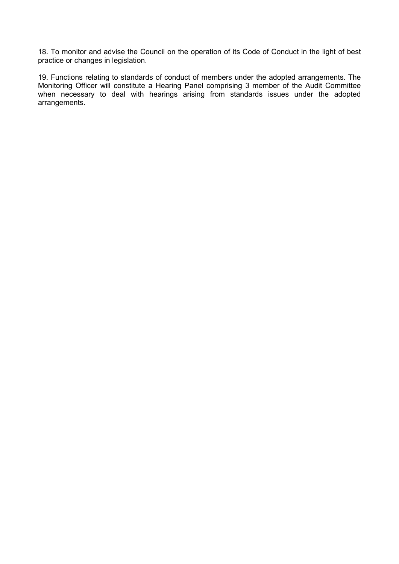18. To monitor and advise the Council on the operation of its Code of Conduct in the light of best practice or changes in legislation.

19. Functions relating to standards of conduct of members under the adopted arrangements. The Monitoring Officer will constitute a Hearing Panel comprising 3 member of the Audit Committee when necessary to deal with hearings arising from standards issues under the adopted arrangements.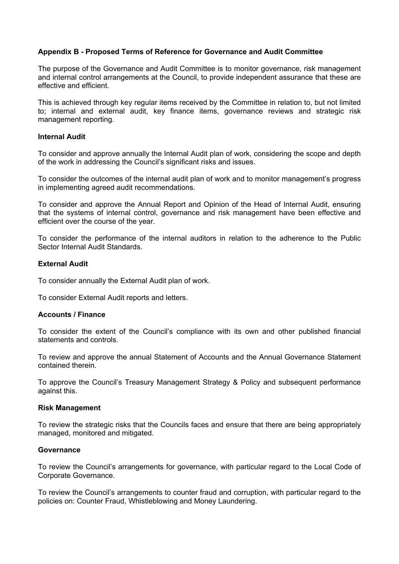# **Appendix B - Proposed Terms of Reference for Governance and Audit Committee**

The purpose of the Governance and Audit Committee is to monitor governance, risk management and internal control arrangements at the Council, to provide independent assurance that these are effective and efficient.

This is achieved through key regular items received by the Committee in relation to, but not limited to; internal and external audit, key finance items, governance reviews and strategic risk management reporting.

#### **Internal Audit**

To consider and approve annually the Internal Audit plan of work, considering the scope and depth of the work in addressing the Council's significant risks and issues.

To consider the outcomes of the internal audit plan of work and to monitor management's progress in implementing agreed audit recommendations.

To consider and approve the Annual Report and Opinion of the Head of Internal Audit, ensuring that the systems of internal control, governance and risk management have been effective and efficient over the course of the year.

To consider the performance of the internal auditors in relation to the adherence to the Public Sector Internal Audit Standards.

#### **External Audit**

To consider annually the External Audit plan of work.

To consider External Audit reports and letters.

#### **Accounts / Finance**

To consider the extent of the Council's compliance with its own and other published financial statements and controls.

To review and approve the annual Statement of Accounts and the Annual Governance Statement contained therein.

To approve the Council's Treasury Management Strategy & Policy and subsequent performance against this.

#### **Risk Management**

To review the strategic risks that the Councils faces and ensure that there are being appropriately managed, monitored and mitigated.

#### **Governance**

To review the Council's arrangements for governance, with particular regard to the Local Code of Corporate Governance.

To review the Council's arrangements to counter fraud and corruption, with particular regard to the policies on: Counter Fraud, Whistleblowing and Money Laundering.